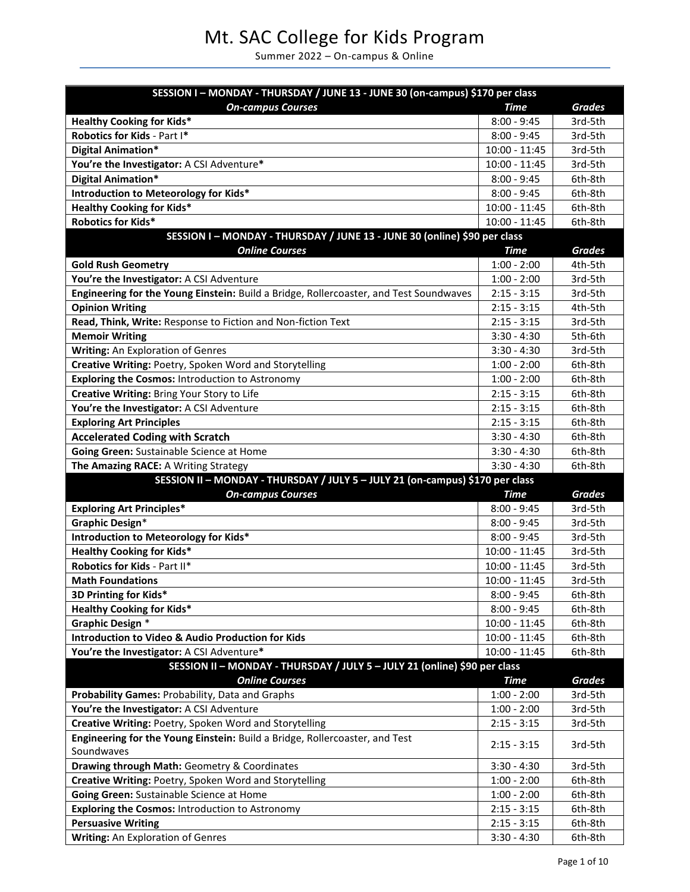# Mt. SAC College for Kids Program

Summer 2022 – On-campus & Online

| SESSION I - MONDAY - THURSDAY / JUNE 13 - JUNE 30 (on-campus) \$170 per class                                          |                                |               |
|------------------------------------------------------------------------------------------------------------------------|--------------------------------|---------------|
| <b>On-campus Courses</b>                                                                                               | <b>Time</b>                    | <b>Grades</b> |
| <b>Healthy Cooking for Kids*</b>                                                                                       | $8:00 - 9:45$                  | 3rd-5th       |
| Robotics for Kids - Part I*                                                                                            | $8:00 - 9:45$                  | 3rd-5th       |
| <b>Digital Animation*</b>                                                                                              | $10:00 - 11:45$                | 3rd-5th       |
| You're the Investigator: A CSI Adventure*                                                                              | 10:00 - 11:45                  | 3rd-5th       |
| <b>Digital Animation*</b>                                                                                              | $8:00 - 9:45$                  | 6th-8th       |
| Introduction to Meteorology for Kids*                                                                                  | $8:00 - 9:45$                  | 6th-8th       |
| <b>Healthy Cooking for Kids*</b>                                                                                       | $10:00 - 11:45$                | 6th-8th       |
| <b>Robotics for Kids*</b>                                                                                              | 10:00 - 11:45                  | 6th-8th       |
| SESSION I - MONDAY - THURSDAY / JUNE 13 - JUNE 30 (online) \$90 per class                                              |                                |               |
| <b>Online Courses</b>                                                                                                  | <b>Time</b>                    | <b>Grades</b> |
| <b>Gold Rush Geometry</b>                                                                                              | $1:00 - 2:00$                  | 4th-5th       |
| You're the Investigator: A CSI Adventure                                                                               | $1:00 - 2:00$                  | 3rd-5th       |
| Engineering for the Young Einstein: Build a Bridge, Rollercoaster, and Test Soundwaves                                 | $2:15 - 3:15$                  | 3rd-5th       |
| <b>Opinion Writing</b>                                                                                                 | $2:15 - 3:15$                  | 4th-5th       |
| Read, Think, Write: Response to Fiction and Non-fiction Text                                                           | $2:15 - 3:15$                  | 3rd-5th       |
| <b>Memoir Writing</b>                                                                                                  | $3:30 - 4:30$                  | 5th-6th       |
| Writing: An Exploration of Genres                                                                                      | $3:30 - 4:30$                  | 3rd-5th       |
| Creative Writing: Poetry, Spoken Word and Storytelling                                                                 | $1:00 - 2:00$                  | 6th-8th       |
| <b>Exploring the Cosmos: Introduction to Astronomy</b>                                                                 | $1:00 - 2:00$                  | 6th-8th       |
| Creative Writing: Bring Your Story to Life                                                                             | $2:15 - 3:15$                  | 6th-8th       |
| You're the Investigator: A CSI Adventure                                                                               | $2:15 - 3:15$                  | 6th-8th       |
| <b>Exploring Art Principles</b>                                                                                        | $2:15 - 3:15$                  | 6th-8th       |
| <b>Accelerated Coding with Scratch</b>                                                                                 | $3:30 - 4:30$                  | 6th-8th       |
| Going Green: Sustainable Science at Home                                                                               | $3:30 - 4:30$                  | 6th-8th       |
| The Amazing RACE: A Writing Strategy                                                                                   | $3:30 - 4:30$                  | 6th-8th       |
| SESSION II - MONDAY - THURSDAY / JULY 5 - JULY 21 (on-campus) \$170 per class                                          |                                |               |
| <b>On-campus Courses</b>                                                                                               | <b>Time</b>                    | <b>Grades</b> |
| <b>Exploring Art Principles*</b>                                                                                       | $8:00 - 9:45$                  | 3rd-5th       |
| <b>Graphic Design*</b>                                                                                                 | $8:00 - 9:45$                  | 3rd-5th       |
| Introduction to Meteorology for Kids*                                                                                  | $8:00 - 9:45$                  | 3rd-5th       |
| <b>Healthy Cooking for Kids*</b>                                                                                       | $10:00 - 11:45$                | 3rd-5th       |
| Robotics for Kids - Part II*                                                                                           | $10:00 - 11:45$                | 3rd-5th       |
| <b>Math Foundations</b>                                                                                                | $10:00 - 11:45$                | 3rd-5th       |
| 3D Printing for Kids*                                                                                                  | $8:00 - 9:45$<br>$8:00 - 9:45$ | 6th-8th       |
| <b>Healthy Cooking for Kids*</b>                                                                                       |                                | 6th-8th       |
| <b>Graphic Design *</b><br><b>Introduction to Video &amp; Audio Production for Kids</b>                                | $10:00 - 11:45$                | 6th-8th       |
|                                                                                                                        | $10:00 - 11:45$                | 6th-8th       |
| You're the Investigator: A CSI Adventure*<br>SESSION II - MONDAY - THURSDAY / JULY 5 - JULY 21 (online) \$90 per class | $10:00 - 11:45$                | 6th-8th       |
| <b>Online Courses</b>                                                                                                  | <b>Time</b>                    | <b>Grades</b> |
| Probability Games: Probability, Data and Graphs                                                                        | $1:00 - 2:00$                  | 3rd-5th       |
| You're the Investigator: A CSI Adventure                                                                               | $1:00 - 2:00$                  | 3rd-5th       |
| Creative Writing: Poetry, Spoken Word and Storytelling                                                                 | $2:15 - 3:15$                  | 3rd-5th       |
| Engineering for the Young Einstein: Build a Bridge, Rollercoaster, and Test                                            |                                |               |
| Soundwaves                                                                                                             | $2:15 - 3:15$                  | 3rd-5th       |
| Drawing through Math: Geometry & Coordinates                                                                           | $3:30 - 4:30$                  | 3rd-5th       |
| Creative Writing: Poetry, Spoken Word and Storytelling                                                                 | $1:00 - 2:00$                  | 6th-8th       |
| Going Green: Sustainable Science at Home                                                                               | $1:00 - 2:00$                  | 6th-8th       |
| <b>Exploring the Cosmos: Introduction to Astronomy</b>                                                                 | $2:15 - 3:15$                  | 6th-8th       |
| <b>Persuasive Writing</b>                                                                                              | $2:15 - 3:15$                  | 6th-8th       |
| Writing: An Exploration of Genres                                                                                      | $3:30 - 4:30$                  | 6th-8th       |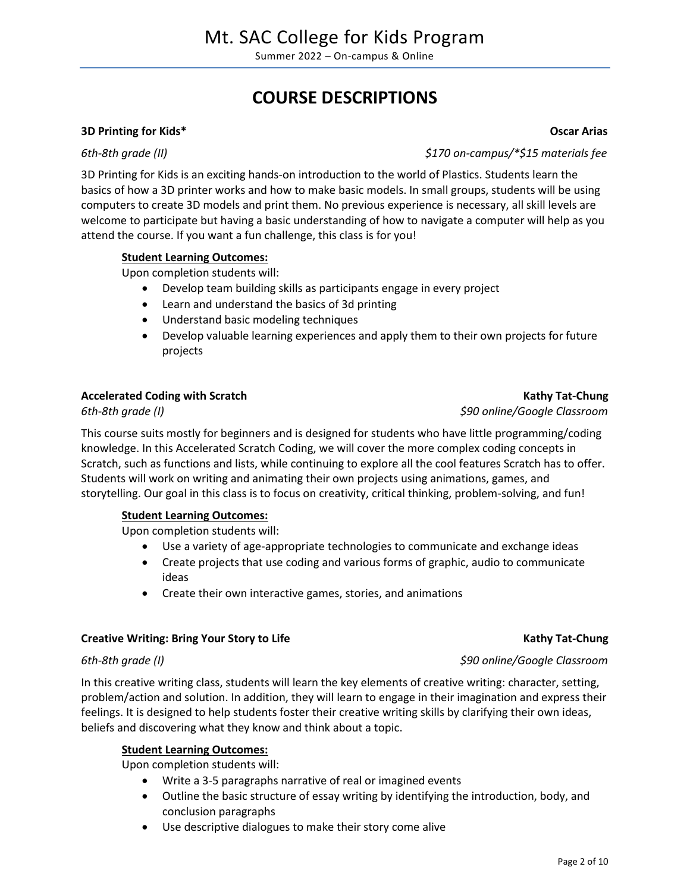# **COURSE DESCRIPTIONS**

### **3D Printing for Kids\* Oscar Arias**

3D Printing for Kids is an exciting hands-on introduction to the world of Plastics. Students learn the basics of how a 3D printer works and how to make basic models. In small groups, students will be using computers to create 3D models and print them. No previous experience is necessary, all skill levels are welcome to participate but having a basic understanding of how to navigate a computer will help as you attend the course. If you want a fun challenge, this class is for you!

### **Student Learning Outcomes:**

Upon completion students will:

- Develop team building skills as participants engage in every project
- Learn and understand the basics of 3d printing
- Understand basic modeling techniques
- Develop valuable learning experiences and apply them to their own projects for future projects

### Accelerated Coding with Scratch **Kathy Tat-Chung Kathy Tat-Chung**

This course suits mostly for beginners and is designed for students who have little programming/coding knowledge. In this Accelerated Scratch Coding, we will cover the more complex coding concepts in Scratch, such as functions and lists, while continuing to explore all the cool features Scratch has to offer. Students will work on writing and animating their own projects using animations, games, and storytelling. Our goal in this class is to focus on creativity, critical thinking, problem-solving, and fun!

### **Student Learning Outcomes:**

Upon completion students will:

- Use a variety of age-appropriate technologies to communicate and exchange ideas
- Create projects that use coding and various forms of graphic, audio to communicate ideas
- Create their own interactive games, stories, and animations

### **Creative Writing: Bring Your Story to Life Kathy Tat-Chung Kathy Tat-Chung**

In this creative writing class, students will learn the key elements of creative writing: character, setting, problem/action and solution. In addition, they will learn to engage in their imagination and express their feelings. It is designed to help students foster their creative writing skills by clarifying their own ideas, beliefs and discovering what they know and think about a topic.

### **Student Learning Outcomes:**

Upon completion students will:

- Write a 3-5 paragraphs narrative of real or imagined events
- Outline the basic structure of essay writing by identifying the introduction, body, and conclusion paragraphs
- Use descriptive dialogues to make their story come alive

*6th-8th grade (II) \$170 on-campus/\*\$15 materials fee*

*6th-8th grade (I) \$90 online/Google Classroom*

*6th-8th grade (I) \$90 online/Google Classroom*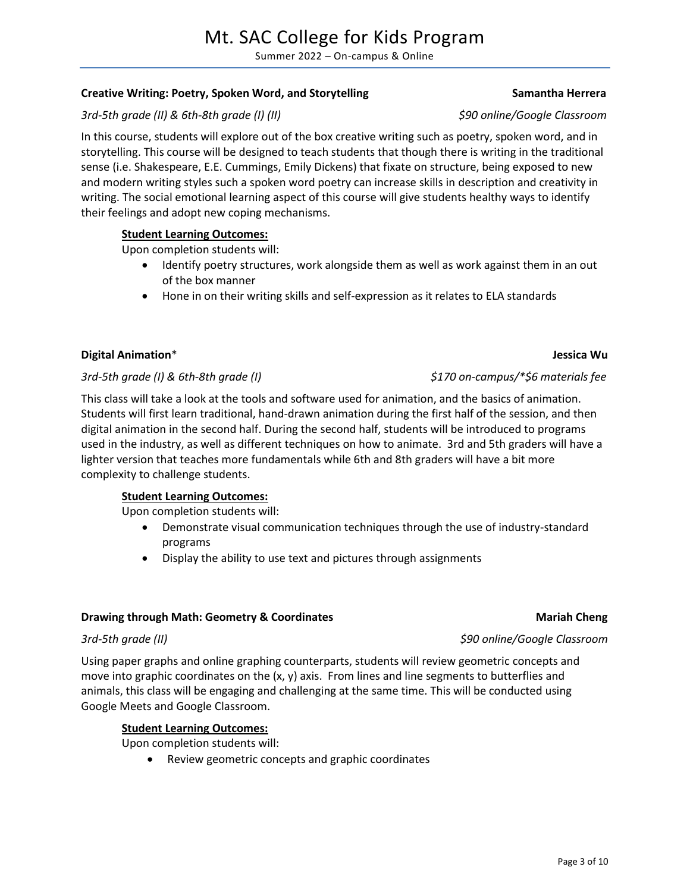### *3rd-5th grade (II) \$90 online/Google Classroom*

Summer 2022 – On-campus & Online

**Creative Writing: Poetry, Spoken Word, and Storytelling Samantha Herrera** Samantha Herrera

## *3rd-5th grade (II) & 6th-8th grade (I) (II) \$90 online/Google Classroom*

In this course, students will explore out of the box creative writing such as poetry, spoken word, and in storytelling. This course will be designed to teach students that though there is writing in the traditional sense (i.e. Shakespeare, E.E. Cummings, Emily Dickens) that fixate on structure, being exposed to new and modern writing styles such a spoken word poetry can increase skills in description and creativity in writing. The social emotional learning aspect of this course will give students healthy ways to identify their feelings and adopt new coping mechanisms.

### **Student Learning Outcomes:**

Upon completion students will:

- Identify poetry structures, work alongside them as well as work against them in an out of the box manner
- Hone in on their writing skills and self-expression as it relates to ELA standards

### **Digital Animation**\* **Jessica Wu**

### *3rd-5th grade (I) & 6th-8th grade (I) \$170 on-campus/\*\$6 materials fee*

This class will take a look at the tools and software used for animation, and the basics of animation. Students will first learn traditional, hand-drawn animation during the first half of the session, and then digital animation in the second half. During the second half, students will be introduced to programs used in the industry, as well as different techniques on how to animate. 3rd and 5th graders will have a lighter version that teaches more fundamentals while 6th and 8th graders will have a bit more complexity to challenge students.

### **Student Learning Outcomes:**

Upon completion students will:

- Demonstrate visual communication techniques through the use of industry-standard programs
- Display the ability to use text and pictures through assignments

### **Drawing through Math: Geometry & Coordinates Mariah Cheng Mariah Cheng**

Using paper graphs and online graphing counterparts, students will review geometric concepts and move into graphic coordinates on the  $(x, y)$  axis. From lines and line segments to butterflies and animals, this class will be engaging and challenging at the same time. This will be conducted using Google Meets and Google Classroom.

### **Student Learning Outcomes:**

Upon completion students will:

Review geometric concepts and graphic coordinates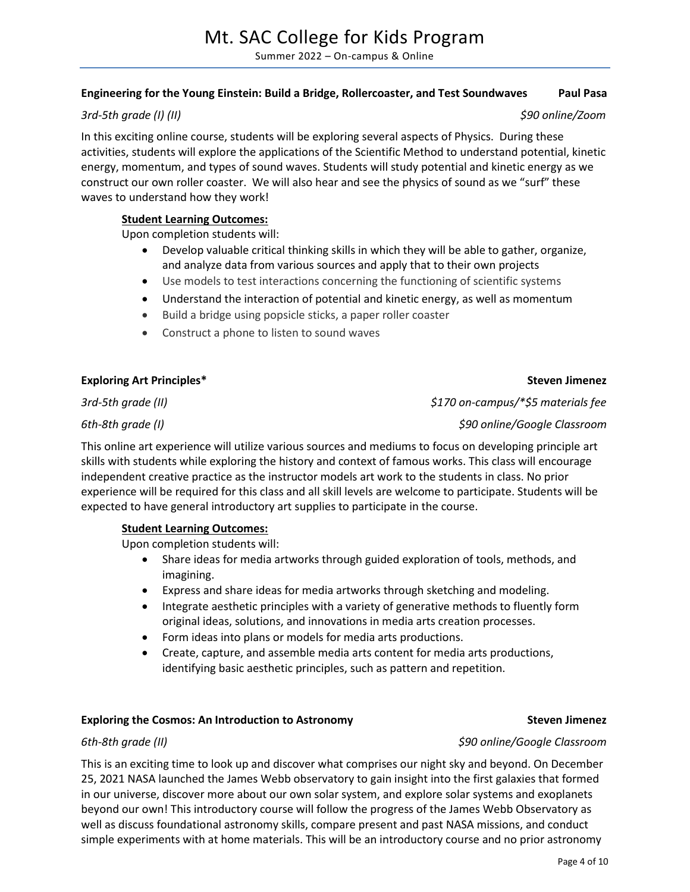### **Engineering for the Young Einstein: Build a Bridge, Rollercoaster, and Test Soundwaves Paul Pasa**

### *3rd-5th grade (I) (II) \$90 online/Zoom*

In this exciting online course, students will be exploring several aspects of Physics. During these activities, students will explore the applications of the Scientific Method to understand potential, kinetic energy, momentum, and types of sound waves. Students will study potential and kinetic energy as we construct our own roller coaster. We will also hear and see the physics of sound as we "surf" these waves to understand how they work!

### **Student Learning Outcomes:**

Upon completion students will:

- Develop valuable critical thinking skills in which they will be able to gather, organize, and analyze data from various sources and apply that to their own projects
- Use models to test interactions concerning the functioning of scientific systems
- Understand the interaction of potential and kinetic energy, as well as momentum
- Build a bridge using popsicle sticks, a paper roller coaster
- Construct a phone to listen to sound waves

### **Exploring Art Principles\* Steven Jimenez**

*3rd-5th grade (II) \$170 on-campus/\*\$5 materials fee*

*6th-8th grade (I) \$90 online/Google Classroom*

This online art experience will utilize various sources and mediums to focus on developing principle art skills with students while exploring the history and context of famous works. This class will encourage independent creative practice as the instructor models art work to the students in class. No prior experience will be required for this class and all skill levels are welcome to participate. Students will be expected to have general introductory art supplies to participate in the course.

### **Student Learning Outcomes:**

Upon completion students will:

- Share ideas for media artworks through guided exploration of tools, methods, and imagining.
- Express and share ideas for media artworks through sketching and modeling.
- Integrate aesthetic principles with a variety of generative methods to fluently form original ideas, solutions, and innovations in media arts creation processes.
- Form ideas into plans or models for media arts productions.
- Create, capture, and assemble media arts content for media arts productions, identifying basic aesthetic principles, such as pattern and repetition.

### **Exploring the Cosmos: An Introduction to Astronomy Steven Jimenez**

### *6th-8th grade (II) \$90 online/Google Classroom*

This is an exciting time to look up and discover what comprises our night sky and beyond. On December 25, 2021 NASA launched the James Webb observatory to gain insight into the first galaxies that formed in our universe, discover more about our own solar system, and explore solar systems and exoplanets beyond our own! This introductory course will follow the progress of the James Webb Observatory as well as discuss foundational astronomy skills, compare present and past NASA missions, and conduct simple experiments with at home materials. This will be an introductory course and no prior astronomy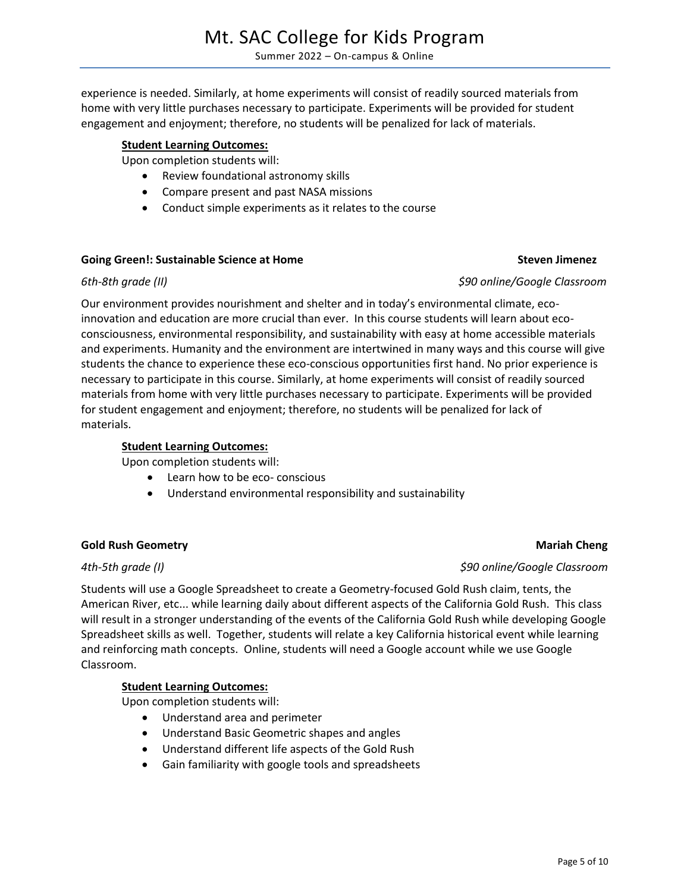experience is needed. Similarly, at home experiments will consist of readily sourced materials from home with very little purchases necessary to participate. Experiments will be provided for student engagement and enjoyment; therefore, no students will be penalized for lack of materials.

## **Student Learning Outcomes:**

Upon completion students will:

- Review foundational astronomy skills
- Compare present and past NASA missions
- Conduct simple experiments as it relates to the course

# **Going Green!: Sustainable Science at Home Steven Jimenez**

# *6th-8th grade (II) \$90 online/Google Classroom*

Our environment provides nourishment and shelter and in today's environmental climate, ecoinnovation and education are more crucial than ever. In this course students will learn about ecoconsciousness, environmental responsibility, and sustainability with easy at home accessible materials and experiments. Humanity and the environment are intertwined in many ways and this course will give students the chance to experience these eco-conscious opportunities first hand. No prior experience is necessary to participate in this course. Similarly, at home experiments will consist of readily sourced materials from home with very little purchases necessary to participate. Experiments will be provided for student engagement and enjoyment; therefore, no students will be penalized for lack of materials.

# **Student Learning Outcomes:**

Upon completion students will:

- Learn how to be eco- conscious
- Understand environmental responsibility and sustainability

# **Gold Rush Geometry Cheng Cheng Cheng Cheng Cheng Cheng Cheng Cheng Cheng Cheng Cheng Cheng Cheng Cheng Cheng Cheng Cheng Cheng Cheng Cheng Cheng Cheng Cheng Cheng Cheng Cheng Cheng Cheng Cheng Cheng Cheng Cheng Cheng Chen**

Classroom.

Students will use a Google Spreadsheet to create a Geometry-focused Gold Rush claim, tents, the American River, etc... while learning daily about different aspects of the California Gold Rush. This class will result in a stronger understanding of the events of the California Gold Rush while developing Google Spreadsheet skills as well. Together, students will relate a key California historical event while learning and reinforcing math concepts. Online, students will need a Google account while we use Google

# **Student Learning Outcomes:**

Upon completion students will:

- Understand area and perimeter
- Understand Basic Geometric shapes and angles
- Understand different life aspects of the Gold Rush
- Gain familiarity with google tools and spreadsheets

### *4th-5th grade (I) \$90 online/Google Classroom*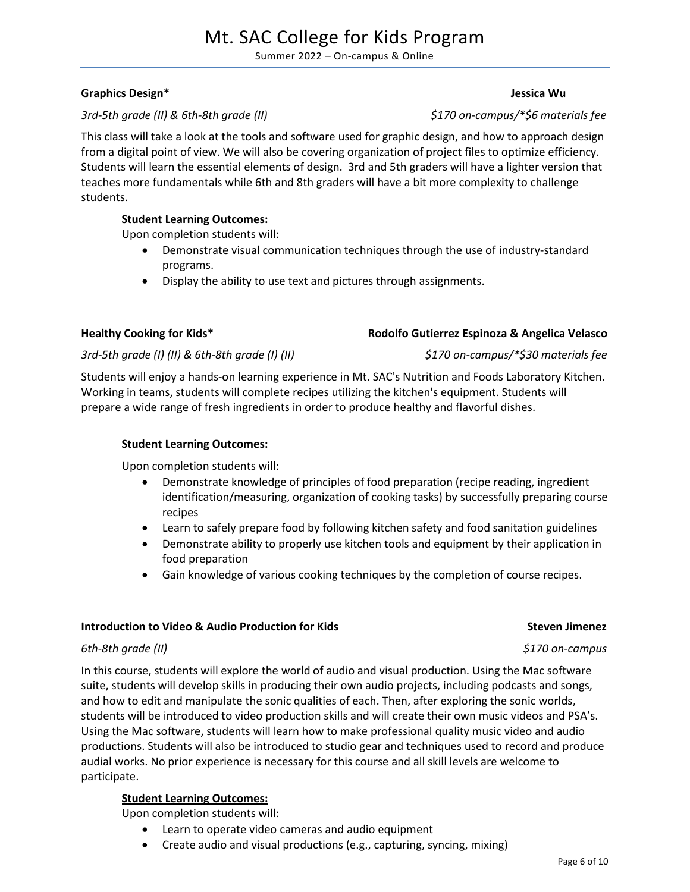# Mt. SAC College for Kids Program

Summer 2022 – On-campus & Online

### **Graphics Design\* Jessica Wu**

### *3rd-5th grade (II) & 6th-8th grade (II) \$170 on-campus/\*\$6 materials fee*

This class will take a look at the tools and software used for graphic design, and how to approach design from a digital point of view. We will also be covering organization of project files to optimize efficiency. Students will learn the essential elements of design. 3rd and 5th graders will have a lighter version that teaches more fundamentals while 6th and 8th graders will have a bit more complexity to challenge students.

### **Student Learning Outcomes:**

Upon completion students will:

- Demonstrate visual communication techniques through the use of industry-standard programs.
- Display the ability to use text and pictures through assignments.

### **Healthy Cooking for Kids\* Rodolfo Gutierrez Espinoza & Angelica Velasco**

### *3rd-5th grade (I) (II) & 6th-8th grade (I) (II) \$170 on-campus/\*\$30 materials fee*

Students will enjoy a hands-on learning experience in Mt. SAC's Nutrition and Foods Laboratory Kitchen. Working in teams, students will complete recipes utilizing the kitchen's equipment. Students will prepare a wide range of fresh ingredients in order to produce healthy and flavorful dishes.

### **Student Learning Outcomes:**

Upon completion students will:

- Demonstrate knowledge of principles of food preparation (recipe reading, ingredient identification/measuring, organization of cooking tasks) by successfully preparing course recipes
- Learn to safely prepare food by following kitchen safety and food sanitation guidelines
- Demonstrate ability to properly use kitchen tools and equipment by their application in food preparation
- Gain knowledge of various cooking techniques by the completion of course recipes.

### **Introduction to Video & Audio Production for Kids Steven Jimenez**

### *6th-8th grade (II) \$170 on-campus*

In this course, students will explore the world of audio and visual production. Using the Mac software suite, students will develop skills in producing their own audio projects, including podcasts and songs, and how to edit and manipulate the sonic qualities of each. Then, after exploring the sonic worlds, students will be introduced to video production skills and will create their own music videos and PSA's. Using the Mac software, students will learn how to make professional quality music video and audio productions. Students will also be introduced to studio gear and techniques used to record and produce audial works. No prior experience is necessary for this course and all skill levels are welcome to participate.

### **Student Learning Outcomes:**

Upon completion students will:

- Learn to operate video cameras and audio equipment
- Create audio and visual productions (e.g., capturing, syncing, mixing)

### Page 6 of 10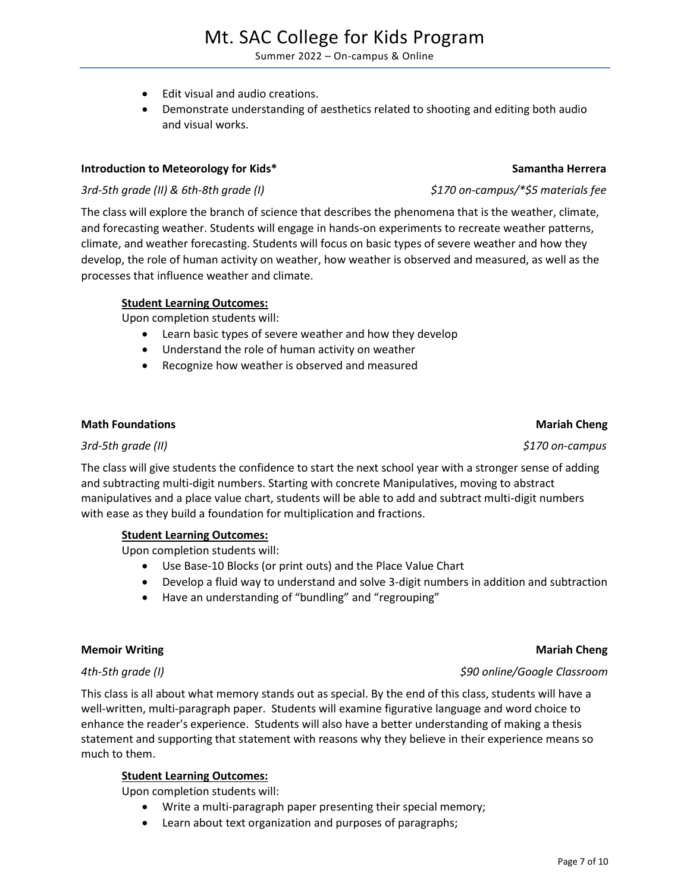# Mt. SAC College for Kids Program

Summer 2022 – On-campus & Online

- Edit visual and audio creations.
- Demonstrate understanding of aesthetics related to shooting and editing both audio and visual works.

### **Introduction to Meteorology for Kids\* Samantha Herrera**

### *3rd-5th grade (II) & 6th-8th grade (I) \$170 on-campus/\*\$5 materials fee*

The class will explore the branch of science that describes the phenomena that is the weather, climate, and forecasting weather. Students will engage in hands-on experiments to recreate weather patterns, climate, and weather forecasting. Students will focus on basic types of severe weather and how they develop, the role of human activity on weather, how weather is observed and measured, as well as the processes that influence weather and climate.

### **Student Learning Outcomes:**

Upon completion students will:

- Learn basic types of severe weather and how they develop
- Understand the role of human activity on weather
- Recognize how weather is observed and measured

### **Math Foundations Mathematic Service Cheng Acts and Acts and Acts and Acts and Acts and Acts and Acts and Acts and Acts and Acts and Acts and Acts and Acts and Acts and Acts and Acts and Acts and Acts and Acts and Acts and**

### *3rd-5th grade (II) \$170 on-campus*

The class will give students the confidence to start the next school year with a stronger sense of adding and subtracting multi-digit numbers. Starting with concrete Manipulatives, moving to abstract manipulatives and a place value chart, students will be able to add and subtract multi-digit numbers with ease as they build a foundation for multiplication and fractions.

### **Student Learning Outcomes:**

Upon completion students will:

- Use Base-10 Blocks (or print outs) and the Place Value Chart
- Develop a fluid way to understand and solve 3-digit numbers in addition and subtraction
- Have an understanding of "bundling" and "regrouping"

### **Memoir Writing Community Community Community Community Community Community Community Community Community Community Community Community Community Community Community Community Community Community Community Community Commun**

This class is all about what memory stands out as special. By the end of this class, students will have a well-written, multi-paragraph paper. Students will examine figurative language and word choice to enhance the reader's experience. Students will also have a better understanding of making a thesis statement and supporting that statement with reasons why they believe in their experience means so much to them.

### **Student Learning Outcomes:**

Upon completion students will:

- Write a multi-paragraph paper presenting their special memory;
- Learn about text organization and purposes of paragraphs;

### *4th-5th grade (I) \$90 online/Google Classroom*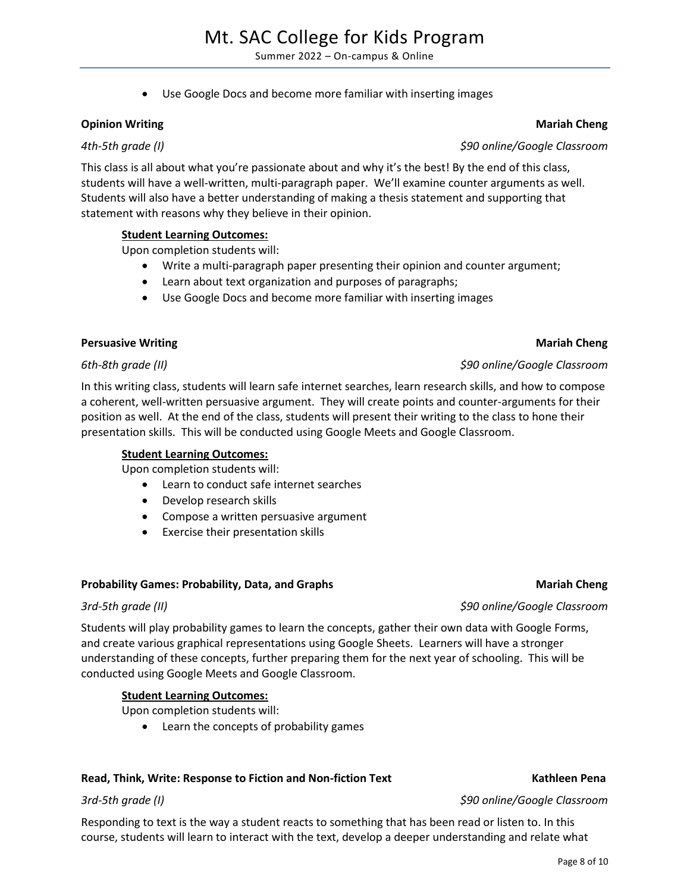Use Google Docs and become more familiar with inserting images

# **Opinion Writing Chengister Chengister Chengister Chengister Chengister Chengister Chengister Chengister Chengister Chengister Chengister Chengister Chengister Chengister Chengister Chengister Chengister Chengister Chengis**

This class is all about what you're passionate about and why it's the best! By the end of this class, students will have a well-written, multi-paragraph paper. We'll examine counter arguments as well. Students will also have a better understanding of making a thesis statement and supporting that statement with reasons why they believe in their opinion.

# **Student Learning Outcomes:**

Upon completion students will:

- Write a multi-paragraph paper presenting their opinion and counter argument;
- Learn about text organization and purposes of paragraphs;
- Use Google Docs and become more familiar with inserting images

# **Persuasive Writing Chengister Chengister Chengister Chengister Chengister Chengister Chengister Chengister Chengister Chengister Chengister Chengister Chengister Chengister Chengister Chengister Chengister Chengister Chen**

In this writing class, students will learn safe internet searches, learn research skills, and how to compose a coherent, well-written persuasive argument. They will create points and counter-arguments for their position as well. At the end of the class, students will present their writing to the class to hone their presentation skills. This will be conducted using Google Meets and Google Classroom.

# **Student Learning Outcomes:**

Upon completion students will:

- Learn to conduct safe internet searches
- Develop research skills
- Compose a written persuasive argument
- Exercise their presentation skills

# **Probability Games: Probability, Data, and Graphs Mariah Cheng Mariah Cheng**

Students will play probability games to learn the concepts, gather their own data with Google Forms, and create various graphical representations using Google Sheets. Learners will have a stronger understanding of these concepts, further preparing them for the next year of schooling. This will be conducted using Google Meets and Google Classroom.

# **Student Learning Outcomes:**

Upon completion students will:

Learn the concepts of probability games

# Read, Think, Write: Response to Fiction and Non-fiction Text **Kathleen Pena**

Responding to text is the way a student reacts to something that has been read or listen to. In this course, students will learn to interact with the text, develop a deeper understanding and relate what

# *4th-5th grade (I) \$90 online/Google Classroom*

*3rd-5th grade (I) \$90 online/Google Classroom*

*3rd-5th grade (II) \$90 online/Google Classroom*

# *6th-8th grade (II) \$90 online/Google Classroom*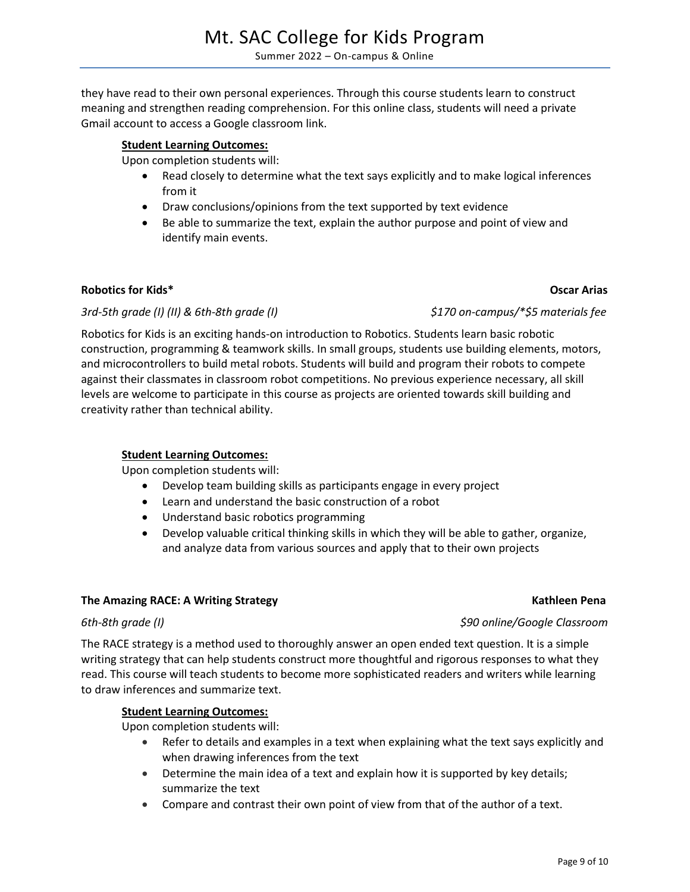they have read to their own personal experiences. Through this course students learn to construct meaning and strengthen reading comprehension. For this online class, students will need a private Gmail account to access a Google classroom link.

### **Student Learning Outcomes:**

Upon completion students will:

- Read closely to determine what the text says explicitly and to make logical inferences from it
- Draw conclusions/opinions from the text supported by text evidence
- Be able to summarize the text, explain the author purpose and point of view and identify main events.

### **Robotics for Kids\* Oscar Arias**

### *3rd-5th grade (I) (II) & 6th-8th grade (I) \$170 on-campus/\*\$5 materials fee*

Robotics for Kids is an exciting hands-on introduction to Robotics. Students learn basic robotic construction, programming & teamwork skills. In small groups, students use building elements, motors, and microcontrollers to build metal robots. Students will build and program their robots to compete against their classmates in classroom robot competitions. No previous experience necessary, all skill levels are welcome to participate in this course as projects are oriented towards skill building and creativity rather than technical ability.

### **Student Learning Outcomes:**

Upon completion students will:

- Develop team building skills as participants engage in every project
- Learn and understand the basic construction of a robot
- Understand basic robotics programming
- Develop valuable critical thinking skills in which they will be able to gather, organize, and analyze data from various sources and apply that to their own projects

### **The Amazing RACE: A Writing Strategy Mathleen Pena Kathleen Pena**

The RACE strategy is a method used to thoroughly answer an open ended text question. It is a simple writing strategy that can help students construct more thoughtful and rigorous responses to what they read. This course will teach students to become more sophisticated readers and writers while learning to draw inferences and summarize text.

### **Student Learning Outcomes:**

Upon completion students will:

- Refer to details and examples in a text when explaining what the text says explicitly and when drawing inferences from the text
- Determine the main idea of a text and explain how it is supported by key details; summarize the text
- Compare and contrast their own point of view from that of the author of a text.

*6th-8th grade (I) \$90 online/Google Classroom*